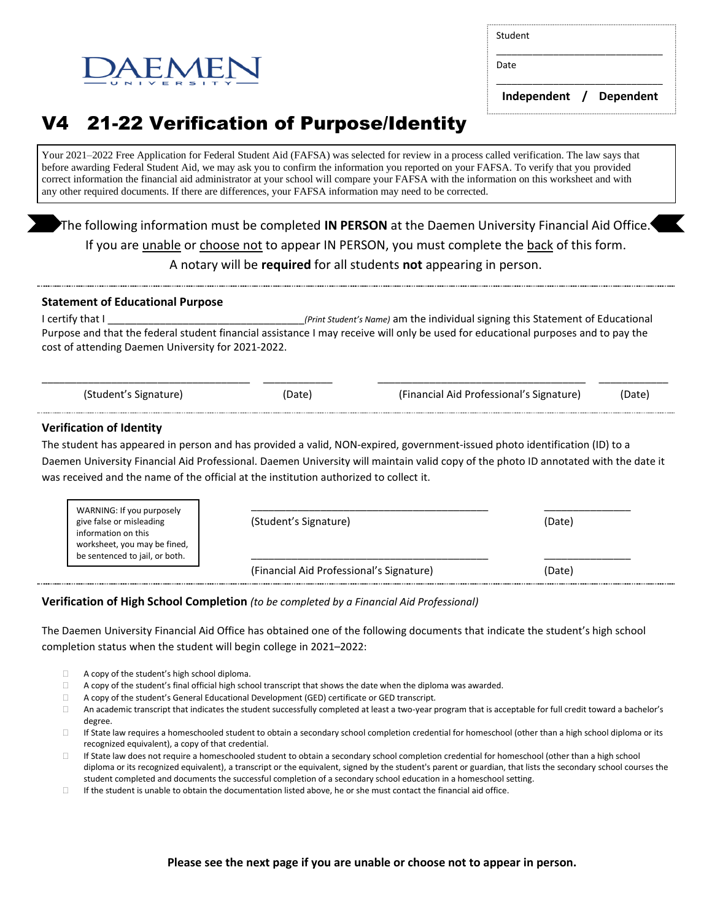Student

Date

\_\_\_\_\_\_\_\_\_\_\_\_\_\_\_\_\_\_\_\_\_\_\_\_\_\_\_\_\_\_\_\_  **Independent / Dependent**

\_\_\_\_\_\_\_\_\_\_\_\_\_\_\_\_\_\_\_\_\_\_\_\_\_\_\_\_\_\_\_\_

# V4 21-22 Verification of Purpose/Identity

 $F$   $M$   $F$   $\Gamma$ 

Your 2021–2022 Free Application for Federal Student Aid (FAFSA) was selected for review in a process called verification. The law says that before awarding Federal Student Aid, we may ask you to confirm the information you reported on your FAFSA. To verify that you provided correct information the financial aid administrator at your school will compare your FAFSA with the information on this worksheet and with any other required documents. If there are differences, your FAFSA information may need to be corrected.

The following information must be completed **IN PERSON** at the Daemen University Financial Aid Office. If you are unable or choose not to appear IN PERSON, you must complete the back of this form. A notary will be **required** for all students **not** appearing in person.

## **Statement of Educational Purpose**

I certify that I contains the student's Name) am the individual signing this Statement of Educational Purpose and that the federal student financial assistance I may receive will only be used for educational purposes and to pay the cost of attending Daemen University for 2021-2022.

|                       | ___________ |                                          |        |
|-----------------------|-------------|------------------------------------------|--------|
| (Student's Signature) | (Date)      | (Financial Aid Professional's Signature) | (Date) |

# **Verification of Identity**

The student has appeared in person and has provided a valid, NON-expired, government-issued photo identification (ID) to a Daemen University Financial Aid Professional. Daemen University will maintain valid copy of the photo ID annotated with the date it was received and the name of the official at the institution authorized to collect it.

| WARNING: If you purposely<br>give false or misleading<br>information on this<br>worksheet, you may be fined,<br>be sentenced to jail, or both. | (Student's Signature)                    | (Date) |
|------------------------------------------------------------------------------------------------------------------------------------------------|------------------------------------------|--------|
|                                                                                                                                                | (Financial Aid Professional's Signature) | (Date) |

## **Verification of High School Completion** *(to be completed by a Financial Aid Professional)*

The Daemen University Financial Aid Office has obtained one of the following documents that indicate the student's high school completion status when the student will begin college in 2021–2022:

- □ A copy of the student's high school diploma.
- $\Box$  A copy of the student's final official high school transcript that shows the date when the diploma was awarded.
- A copy of the student's General Educational Development (GED) certificate or GED transcript.
- $\Box$  An academic transcript that indicates the student successfully completed at least a two-year program that is acceptable for full credit toward a bachelor's degree.
- $\Box$  If State law requires a homeschooled student to obtain a secondary school completion credential for homeschool (other than a high school diploma or its recognized equivalent), a copy of that credential.
- $\Box$  If State law does not require a homeschooled student to obtain a secondary school completion credential for homeschool (other than a high school diploma or its recognized equivalent), a transcript or the equivalent, signed by the student's parent or guardian, that lists the secondary school courses the student completed and documents the successful completion of a secondary school education in a homeschool setting.
- If the student is unable to obtain the documentation listed above, he or she must contact the financial aid office.